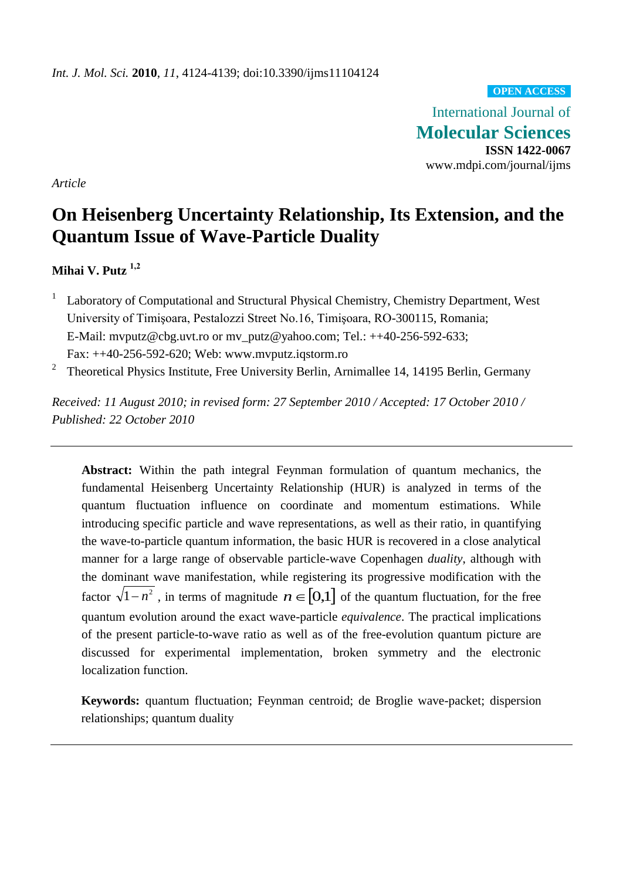# **OPEN ACCESS**

International Journal of **Molecular Sciences ISSN 1422-0067** www.mdpi.com/journal/ijms

*Article*

# **On Heisenberg Uncertainty Relationship, Its Extension, and the Quantum Issue of Wave-Particle Duality**

# **Mihai V. Putz 1,2**

- 1 Laboratory of Computational and Structural Physical Chemistry, Chemistry Department, West University of Timişoara, Pestalozzi Street No.16, Timişoara, RO-300115, Romania; E-Mail: mvputz@cbg.uvt.ro or mv\_putz@yahoo.com; Tel.: ++40-256-592-633; Fax: ++40-256-592-620; Web: www.mvputz.iqstorm.ro
- 2 Theoretical Physics Institute, Free University Berlin, Arnimallee 14, 14195 Berlin, Germany

*Received: 11 August 2010; in revised form: 27 September 2010 / Accepted: 17 October 2010 / Published: 22 October 2010*

**Abstract:** Within the path integral Feynman formulation of quantum mechanics, the fundamental Heisenberg Uncertainty Relationship (HUR) is analyzed in terms of the quantum fluctuation influence on coordinate and momentum estimations. While introducing specific particle and wave representations, as well as their ratio, in quantifying the wave-to-particle quantum information, the basic HUR is recovered in a close analytical manner for a large range of observable particle-wave Copenhagen *duality*, although with the dominant wave manifestation, while registering its progressive modification with the factor  $\sqrt{1-n^2}$ , in terms of magnitude  $n \in [0,1]$  of the quantum fluctuation, for the free quantum evolution around the exact wave-particle *equivalence*. The practical implications of the present particle-to-wave ratio as well as of the free-evolution quantum picture are discussed for experimental implementation, broken symmetry and the electronic localization function.

**Keywords:** quantum fluctuation; Feynman centroid; de Broglie wave-packet; dispersion relationships; quantum duality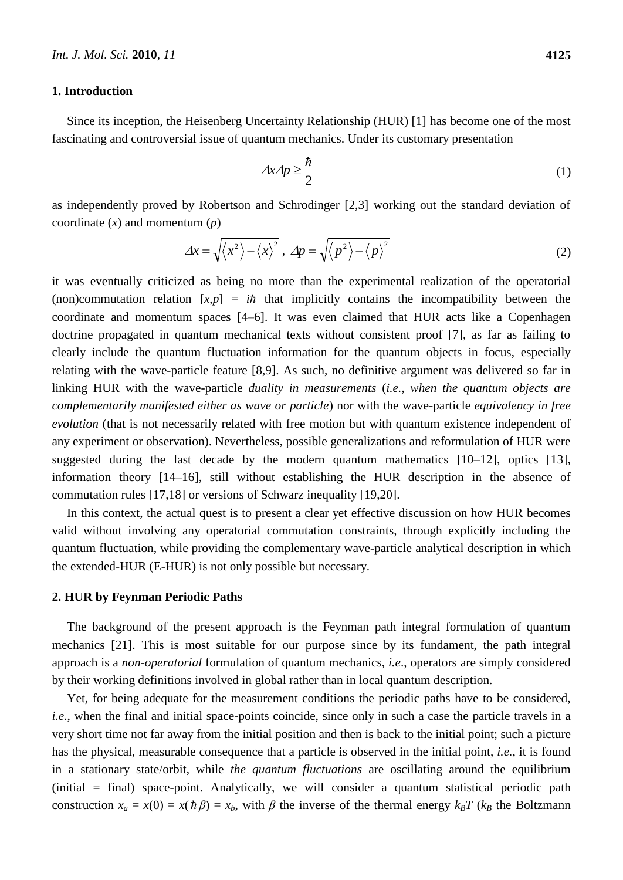#### **1. Introduction**

Since its inception, the Heisenberg Uncertainty Relationship (HUR) [1] has become one of the most fascinating and controversial issue of quantum mechanics. Under its customary presentation

$$
\Delta x \Delta p \ge \frac{\hbar}{2} \tag{1}
$$

as independently proved by Robertson and Schrodinger [2,3] working out the standard deviation of coordinate (*x*) and momentum (*p*)

$$
\Delta x = \sqrt{\langle x^2 \rangle - \langle x \rangle^2}, \ \Delta p = \sqrt{\langle p^2 \rangle - \langle p \rangle^2}
$$
 (2)

it was eventually criticized as being no more than the experimental realization of the operatorial (non)commutation relation  $[x, p] = i\hbar$  that implicitly contains the incompatibility between the coordinate and momentum spaces [4–6]. It was even claimed that HUR acts like a Copenhagen doctrine propagated in quantum mechanical texts without consistent proof [7], as far as failing to clearly include the quantum fluctuation information for the quantum objects in focus, especially relating with the wave-particle feature [8,9]. As such, no definitive argument was delivered so far in linking HUR with the wave-particle *duality in measurements* (*i.e.*, *when the quantum objects are complementarily manifested either as wave or particle*) nor with the wave-particle *equivalency in free evolution* (that is not necessarily related with free motion but with quantum existence independent of any experiment or observation). Nevertheless, possible generalizations and reformulation of HUR were suggested during the last decade by the modern quantum mathematics  $[10-12]$ , optics  $[13]$ , information theory [14–16], still without establishing the HUR description in the absence of commutation rules [17,18] or versions of Schwarz inequality [19,20].

In this context, the actual quest is to present a clear yet effective discussion on how HUR becomes valid without involving any operatorial commutation constraints, through explicitly including the quantum fluctuation, while providing the complementary wave-particle analytical description in which the extended-HUR (E-HUR) is not only possible but necessary.

#### **2. HUR by Feynman Periodic Paths**

The background of the present approach is the Feynman path integral formulation of quantum mechanics [21]. This is most suitable for our purpose since by its fundament, the path integral approach is a *non-operatorial* formulation of quantum mechanics, *i.e*., operators are simply considered by their working definitions involved in global rather than in local quantum description.

Yet, for being adequate for the measurement conditions the periodic paths have to be considered, *i.e.*, when the final and initial space-points coincide, since only in such a case the particle travels in a very short time not far away from the initial position and then is back to the initial point; such a picture has the physical, measurable consequence that a particle is observed in the initial point, *i.e.*, it is found in a stationary state/orbit, while *the quantum fluctuations* are oscillating around the equilibrium (initial = final) space-point. Analytically, we will consider a quantum statistical periodic path construction  $x_a = x(0) = x(h\beta) = x_b$ , with  $\beta$  the inverse of the thermal energy  $k_B T$  ( $k_B$  the Boltzmann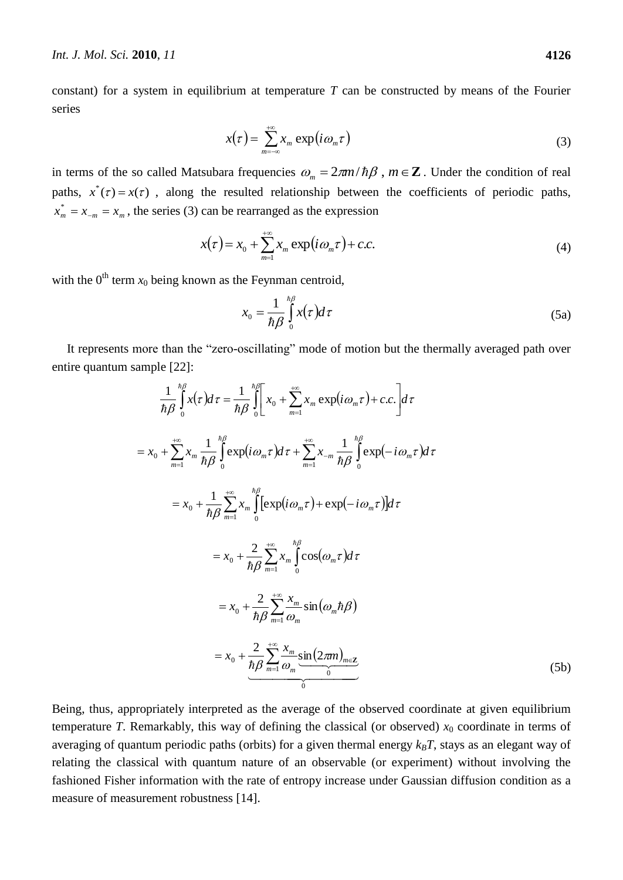constant) for a system in equilibrium at temperature *T* can be constructed by means of the Fourier series

$$
x(\tau) = \sum_{m=-\infty}^{+\infty} x_m \exp(i\omega_m \tau)
$$
 (3)

in terms of the so called Matsubara frequencies  $\omega_m = 2\pi m/\hbar\beta$ ,  $m \in \mathbb{Z}$ . Under the condition of real paths,  $x^*(\tau) = x(\tau)$ , along the resulted relationship between the coefficients of periodic paths,  $x_m^* = x_{-m} = x_m$ , the series (3) can be rearranged as the expression

$$
x(\tau) = x_0 + \sum_{m=1}^{+\infty} x_m \exp(i\omega_m \tau) + c.c.
$$
 (4)

with the  $0^{th}$  term  $x_0$  being known as the Feynman centroid,

$$
x_0 = \frac{1}{\hbar \beta} \int_0^{\hbar \beta} x(\tau) d\tau \tag{5a}
$$

It represents more than the "zero-oscillating" mode of motion but the thermally averaged path over entire quantum sample [22]:

$$
\frac{1}{h\beta} \int_{0}^{h\beta} x(\tau) d\tau = \frac{1}{h\beta} \int_{0}^{h\beta} \left[ x_{0} + \sum_{m=1}^{+\infty} x_{m} \exp(i\omega_{m}\tau) + c.c. \right] d\tau
$$
\n
$$
= x_{0} + \sum_{m=1}^{+\infty} x_{m} \frac{1}{h\beta} \int_{0}^{h\beta} \exp(i\omega_{m}\tau) d\tau + \sum_{m=1}^{+\infty} x_{-m} \frac{1}{h\beta} \int_{0}^{h\beta} \exp(-i\omega_{m}\tau) d\tau
$$
\n
$$
= x_{0} + \frac{1}{h\beta} \sum_{m=1}^{+\infty} x_{m} \int_{0}^{h\beta} \left[ \exp(i\omega_{m}\tau) + \exp(-i\omega_{m}\tau) \right] d\tau
$$
\n
$$
= x_{0} + \frac{2}{h\beta} \sum_{m=1}^{+\infty} x_{m} \int_{0}^{h\beta} \cos(\omega_{m}\tau) d\tau
$$
\n
$$
= x_{0} + \frac{2}{h\beta} \sum_{m=1}^{+\infty} \frac{x_{m}}{\omega_{m}} \sin(\omega_{m}h\beta)
$$
\n
$$
= x_{0} + \frac{2}{h\beta} \sum_{m=1}^{+\infty} \frac{x_{m}}{\omega_{m}} \sin(2\pi m)_{m\in\mathbb{Z}} \frac{1}{\omega_{m}}
$$
\n(5b)

Being, thus, appropriately interpreted as the average of the observed coordinate at given equilibrium temperature *T*. Remarkably, this way of defining the classical (or observed)  $x_0$  coordinate in terms of averaging of quantum periodic paths (orbits) for a given thermal energy *kBT*, stays as an elegant way of relating the classical with quantum nature of an observable (or experiment) without involving the fashioned Fisher information with the rate of entropy increase under Gaussian diffusion condition as a measure of measurement robustness [14].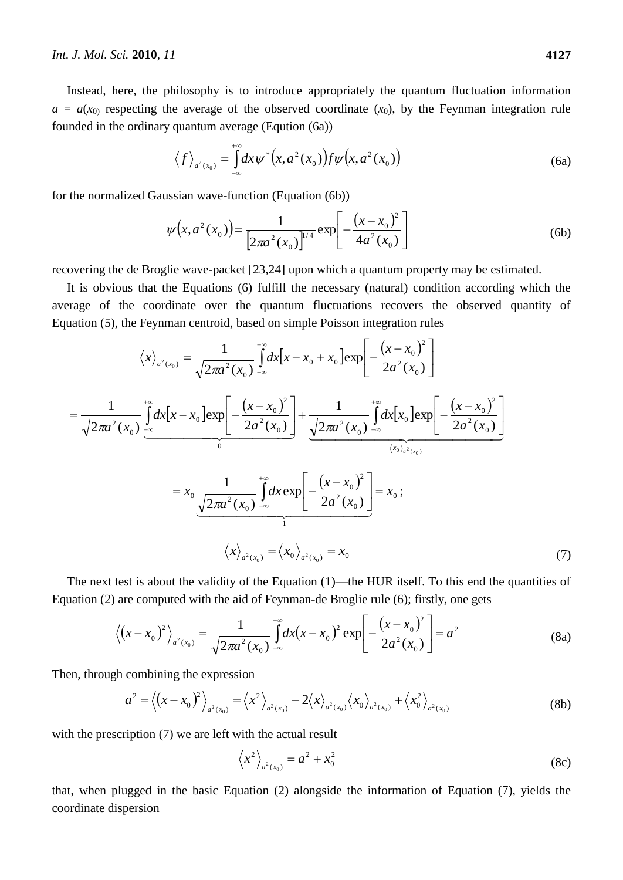Instead, here, the philosophy is to introduce appropriately the quantum fluctuation information  $a = a(x_0)$  respecting the average of the observed coordinate  $(x_0)$ , by the Feynman integration rule founded in the ordinary quantum average (Eqution (6a))

$$
\langle f \rangle_{a^2(x_0)} = \int_{-\infty}^{+\infty} dx \psi^* (x, a^2(x_0)) f \psi (x, a^2(x_0))
$$
 (6a)

for the normalized Gaussian wave-function (Equation (6b))

$$
\psi(x, a^{2}(x_{0})) = \frac{1}{\left[2\pi a^{2}(x_{0})\right]^{1/4}} \exp\left[-\frac{(x-x_{0})^{2}}{4a^{2}(x_{0})}\right]
$$
(6b)

recovering the de Broglie wave-packet [23,24] upon which a quantum property may be estimated.

It is obvious that the Equations (6) fulfill the necessary (natural) condition according which the average of the coordinate over the quantum fluctuations recovers the observed quantity of Equation (5), the Feynman centroid, based on simple Poisson integration rules

$$
\langle x \rangle_{a^2(x_0)} = \frac{1}{\sqrt{2\pi a^2(x_0)}} \int_{-\infty}^{+\infty} dx \Big[ x - x_0 + x_0 \Big] \exp \Big[ - \frac{(x - x_0)^2}{2a^2(x_0)} \Big]
$$
  
\n
$$
= \frac{1}{\sqrt{2\pi a^2(x_0)}} \int_{-\infty}^{+\infty} dx \Big[ x - x_0 \Big] \exp \Big[ - \frac{(x - x_0)^2}{2a^2(x_0)} \Big] + \frac{1}{\sqrt{2\pi a^2(x_0)}} \int_{-\infty}^{+\infty} dx \Big[ x_0 \Big] \exp \Big[ - \frac{(x - x_0)^2}{2a^2(x_0)} \Big]
$$
  
\n
$$
= x_0 \frac{1}{\sqrt{2\pi a^2(x_0)}} \int_{-\infty}^{+\infty} dx \exp \Big[ - \frac{(x - x_0)^2}{2a^2(x_0)} \Big] = x_0 ;
$$
  
\n
$$
\langle x \rangle_{a^2(x_0)} = \langle x_0 \rangle_{a^2(x_0)} = x_0
$$
 (7)

The next test is about the validity of the Equation (1)—the HUR itself. To this end the quantities of Equation (2) are computed with the aid of Feynman-de Broglie rule (6); firstly, one gets

$$
\left\langle \left(x - x_0\right)^2 \right\rangle_{a^2(x_0)} = \frac{1}{\sqrt{2\pi a^2(x_0)}} \int_{-\infty}^{+\infty} dx \left(x - x_0\right)^2 \exp\left[-\frac{\left(x - x_0\right)^2}{2a^2(x_0)}\right] = a^2 \tag{8a}
$$

Then, through combining the expression

$$
a^{2} = \langle (x - x_{0})^{2} \rangle_{a^{2}(x_{0})} = \langle x^{2} \rangle_{a^{2}(x_{0})} - 2\langle x \rangle_{a^{2}(x_{0})} \langle x_{0} \rangle_{a^{2}(x_{0})} + \langle x_{0}^{2} \rangle_{a^{2}(x_{0})}
$$
(8b)

with the prescription (7) we are left with the actual result

$$
\langle x^2 \rangle_{a^2(x_0)} = a^2 + x_0^2 \tag{8c}
$$

that, when plugged in the basic Equation (2) alongside the information of Equation (7), yields the coordinate dispersion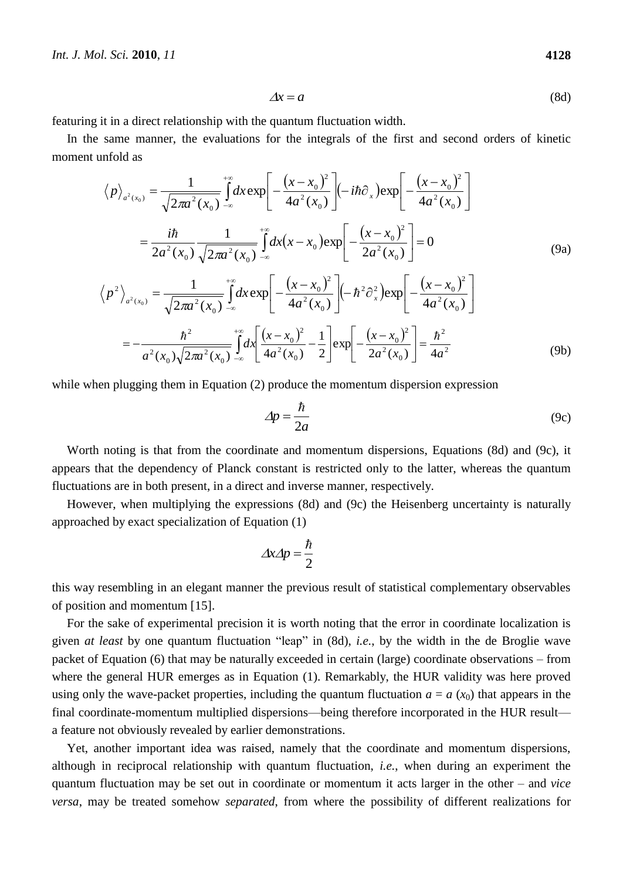$$
\Delta x = a \tag{8d}
$$

featuring it in a direct relationship with the quantum fluctuation width.

In the same manner, the evaluations for the integrals of the first and second orders of kinetic moment unfold as

$$
\langle p \rangle_{a^2(x_0)} = \frac{1}{\sqrt{2\pi a^2(x_0)}} \int_{-\infty}^{+\infty} dx \exp\left[ -\frac{(x - x_0)^2}{4a^2(x_0)} \right] (-i\hbar \partial_x) \exp\left[ -\frac{(x - x_0)^2}{4a^2(x_0)} \right]
$$
  
\n
$$
= \frac{i\hbar}{2a^2(x_0)} \frac{1}{\sqrt{2\pi a^2(x_0)}} \int_{-\infty}^{+\infty} dx (x - x_0) \exp\left[ -\frac{(x - x_0)^2}{2a^2(x_0)} \right] = 0
$$
(9a)  
\n
$$
\langle p^2 \rangle_{a^2(x_0)} = \frac{1}{\sqrt{2\pi a^2(x_0)}} \int_{-\infty}^{+\infty} dx \exp\left[ -\frac{(x - x_0)^2}{4a^2(x_0)} \right] (-\hbar^2 \partial_x^2) \exp\left[ -\frac{(x - x_0)^2}{4a^2(x_0)} \right]
$$
  
\n
$$
= -\frac{\hbar^2}{a^2(x_0)\sqrt{2\pi a^2(x_0)}} \int_{-\infty}^{+\infty} dx \left[ \frac{(x - x_0)^2}{4a^2(x_0)} - \frac{1}{2} \right] \exp\left[ -\frac{(x - x_0)^2}{2a^2(x_0)} \right] = \frac{\hbar^2}{4a^2}
$$
  
\n
$$
(9b)
$$

while when plugging them in Equation (2) produce the momentum dispersion expression

$$
\Delta p = \frac{\hbar}{2a} \tag{9c}
$$

Worth noting is that from the coordinate and momentum dispersions, Equations (8d) and (9c), it appears that the dependency of Planck constant is restricted only to the latter, whereas the quantum fluctuations are in both present, in a direct and inverse manner, respectively.

However, when multiplying the expressions (8d) and (9c) the Heisenberg uncertainty is naturally approached by exact specialization of Equation (1)

$$
\Delta x \Delta p = \frac{\hbar}{2}
$$

this way resembling in an elegant manner the previous result of statistical complementary observables of position and momentum [15].

For the sake of experimental precision it is worth noting that the error in coordinate localization is given *at least* by one quantum fluctuation "leap" in (8d), *i.e.*, by the width in the de Broglie wave packet of Equation (6) that may be naturally exceeded in certain (large) coordinate observations – from where the general HUR emerges as in Equation (1). Remarkably, the HUR validity was here proved using only the wave-packet properties, including the quantum fluctuation  $a = a(x_0)$  that appears in the final coordinate-momentum multiplied dispersions—being therefore incorporated in the HUR result a feature not obviously revealed by earlier demonstrations.

Yet, another important idea was raised, namely that the coordinate and momentum dispersions, although in reciprocal relationship with quantum fluctuation, *i.e.*, when during an experiment the quantum fluctuation may be set out in coordinate or momentum it acts larger in the other – and *vice versa*, may be treated somehow *separated*, from where the possibility of different realizations for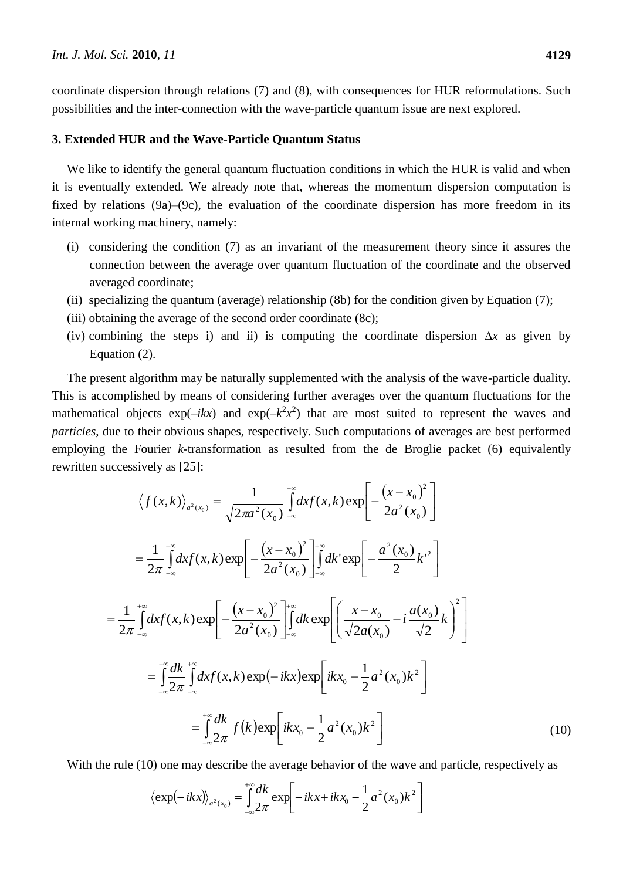coordinate dispersion through relations (7) and (8), with consequences for HUR reformulations. Such possibilities and the inter-connection with the wave-particle quantum issue are next explored.

#### **3. Extended HUR and the Wave-Particle Quantum Status**

We like to identify the general quantum fluctuation conditions in which the HUR is valid and when it is eventually extended. We already note that, whereas the momentum dispersion computation is fixed by relations (9a)–(9c), the evaluation of the coordinate dispersion has more freedom in its internal working machinery, namely:

- (i) considering the condition (7) as an invariant of the measurement theory since it assures the connection between the average over quantum fluctuation of the coordinate and the observed averaged coordinate;
- (ii) specializing the quantum (average) relationship (8b) for the condition given by Equation (7);
- (iii) obtaining the average of the second order coordinate (8c);
- (iv) combining the steps i) and ii) is computing the coordinate dispersion ∆*x* as given by Equation (2).

The present algorithm may be naturally supplemented with the analysis of the wave-particle duality. This is accomplished by means of considering further averages over the quantum fluctuations for the mathematical objects  $exp(-ikx)$  and  $exp(-k^2x^2)$  that are most suited to represent the waves and *particles*, due to their obvious shapes, respectively. Such computations of averages are best performed employing the Fourier *k*-transformation as resulted from the de Broglie packet (6) equivalently rewritten successively as [25]:

$$
\langle f(x,k) \rangle_{a^2(x_0)} = \frac{1}{\sqrt{2\pi a^2(x_0)}} \int_{-\infty}^{+\infty} dx f(x,k) \exp\left[ -\frac{(x-x_0)^2}{2a^2(x_0)} \right]
$$
  
\n
$$
= \frac{1}{2\pi} \int_{-\infty}^{+\infty} dx f(x,k) \exp\left[ -\frac{(x-x_0)^2}{2a^2(x_0)} \right]_{-\infty}^{+\infty} dx \exp\left[ -\frac{a^2(x_0)}{2} k^2 \right]
$$
  
\n
$$
= \frac{1}{2\pi} \int_{-\infty}^{+\infty} dx f(x,k) \exp\left[ -\frac{(x-x_0)^2}{2a^2(x_0)} \right]_{-\infty}^{+\infty} dx \exp\left[ \left( \frac{x-x_0}{\sqrt{2}a(x_0)} - i \frac{a(x_0)}{\sqrt{2}} k \right)^2 \right]
$$
  
\n
$$
= \int_{-\infty}^{+\infty} \frac{dk}{2\pi} \int_{-\infty}^{+\infty} dx f(x,k) \exp(-ikx) \exp\left[ ikx_0 - \frac{1}{2} a^2(x_0) k^2 \right]
$$
  
\n
$$
= \int_{-\infty}^{+\infty} \frac{dk}{2\pi} f(k) \exp\left[ ikx_0 - \frac{1}{2} a^2(x_0) k^2 \right]
$$
(10)

With the rule (10) one may describe the average behavior of the wave and particle, respectively as  
\n
$$
\langle \exp(-ikx) \rangle_{a^2(x_0)} = \int_{-\infty}^{+\infty} \frac{dk}{2\pi} \exp\left[-ikx + ikx_0 - \frac{1}{2}a^2(x_0)k^2\right]
$$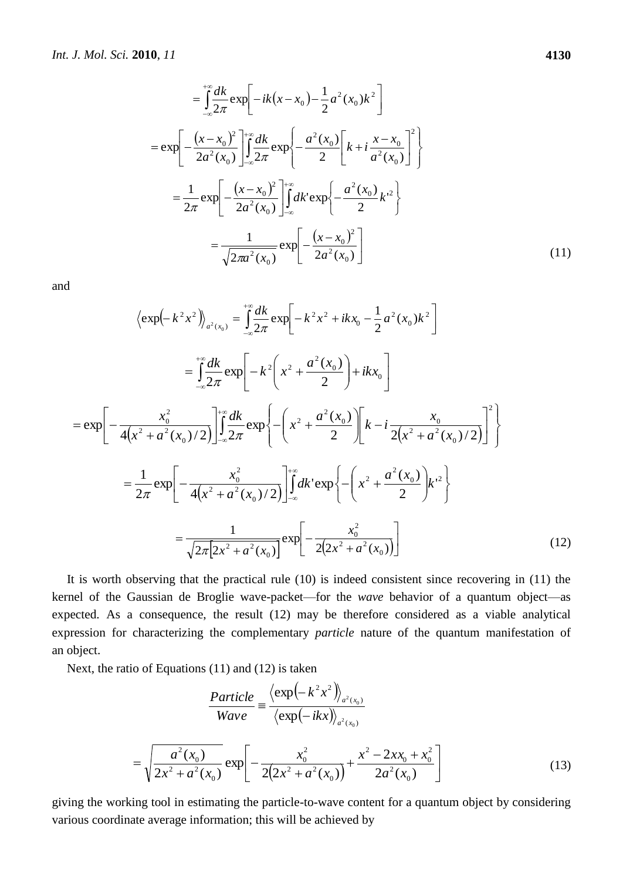$$
= \int_{-\infty}^{+\infty} \frac{dk}{2\pi} \exp\left[-ik(x - x_0) - \frac{1}{2}a^2(x_0)k^2\right]
$$
  
\n
$$
= \exp\left[-\frac{(x - x_0)^2}{2a^2(x_0)}\right]_{-\infty}^{+\infty} \frac{dk}{2\pi} \exp\left\{-\frac{a^2(x_0)}{2}\left[k + i\frac{x - x_0}{a^2(x_0)}\right]^2\right\}
$$
  
\n
$$
= \frac{1}{2\pi} \exp\left[-\frac{(x - x_0)^2}{2a^2(x_0)}\right]_{-\infty}^{+\infty} dk' \exp\left\{-\frac{a^2(x_0)}{2}k'^2\right\}
$$
  
\n
$$
= \frac{1}{\sqrt{2\pi a^2(x_0)}} \exp\left[-\frac{(x - x_0)^2}{2a^2(x_0)}\right]
$$
(11)

and

$$
\langle \exp(-k^2 x^2) \rangle_{a^2(x_0)} = \int_{-\infty}^{+\infty} \frac{dk}{2\pi} \exp\left[-k^2 x^2 + ikx_0 - \frac{1}{2} a^2 (x_0) k^2\right]
$$
  
\n
$$
= \int_{-\infty}^{+\infty} \frac{dk}{2\pi} \exp\left[-k^2 \left(x^2 + \frac{a^2 (x_0)}{2}\right) + ikx_0\right]
$$
  
\n
$$
= \exp\left[-\frac{x_0^2}{4(x^2 + a^2 (x_0)/2)}\right] \int_{-\infty}^{+\infty} \frac{dk}{2\pi} \exp\left\{-\left(x^2 + \frac{a^2 (x_0)}{2}\right) \left[k - i\frac{x_0}{2(x^2 + a^2 (x_0)/2)}\right]^2\right\}
$$
  
\n
$$
= \frac{1}{2\pi} \exp\left[-\frac{x_0^2}{4(x^2 + a^2 (x_0)/2)}\right] \int_{-\infty}^{+\infty} dk' \exp\left\{-\left(x^2 + \frac{a^2 (x_0)}{2}\right) k'^2\right\}
$$
  
\n
$$
= \frac{1}{\sqrt{2\pi} [2x^2 + a^2 (x_0)} \exp\left[-\frac{x_0^2}{2(2x^2 + a^2 (x_0))}\right]
$$
 (12)

It is worth observing that the practical rule (10) is indeed consistent since recovering in (11) the kernel of the Gaussian de Broglie wave-packet—for the *wave* behavior of a quantum object—as expected. As a consequence, the result (12) may be therefore considered as a viable analytical expression for characterizing the complementary *particle* nature of the quantum manifestation of an object.

Next, the ratio of Equations (11) and (12) is taken

 $\equiv$ 

$$
\frac{Particle}{Wave} = \frac{\left\langle \exp(-k^2 x^2) \right\rangle_{a^2(x_0)}}{\left\langle \exp(-ikx) \right\rangle_{a^2(x_0)}}
$$

$$
\sqrt{\frac{a^2(x_0)}{2x^2 + a^2(x_0)}} \exp\left[-\frac{x_0^2}{2(2x^2 + a^2(x_0))} + \frac{x^2 - 2xx_0 + x_0^2}{2a^2(x_0)}\right]
$$
(13)

giving the working tool in estimating the particle-to-wave content for a quantum object by considering various coordinate average information; this will be achieved by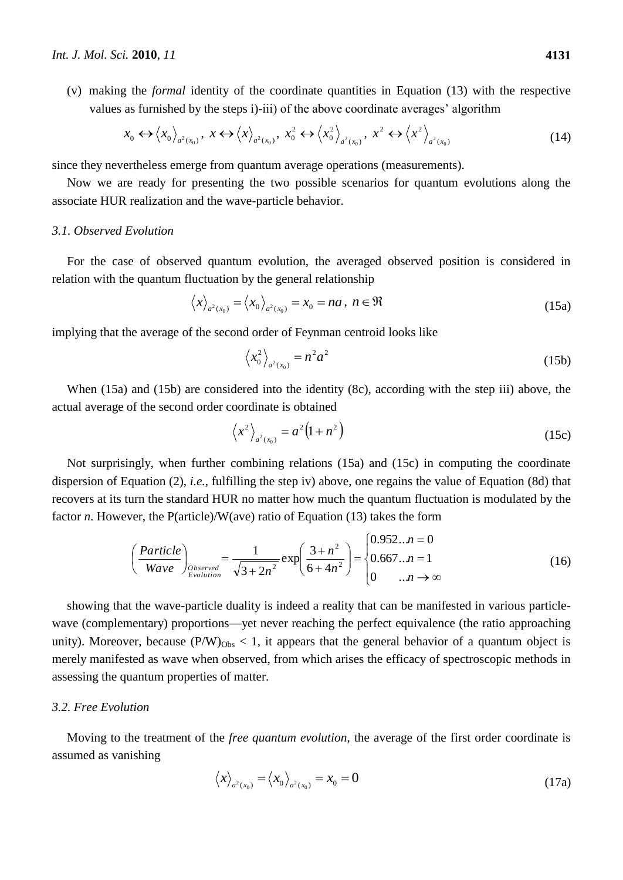(v) making the *formal* identity of the coordinate quantities in Equation (13) with the respective values as furnished by the steps i)-iii) of the above coordinate averages' algorithm

$$
x_0 \leftrightarrow \langle x_0 \rangle_{a^2(x_0)}, \ x \leftrightarrow \langle x \rangle_{a^2(x_0)}, \ x_0^2 \leftrightarrow \langle x_0^2 \rangle_{a^2(x_0)}, \ x^2 \leftrightarrow \langle x^2 \rangle_{a^2(x_0)}
$$
(14)

since they nevertheless emerge from quantum average operations (measurements).

Now we are ready for presenting the two possible scenarios for quantum evolutions along the associate HUR realization and the wave-particle behavior.

#### *3.1. Observed Evolution*

For the case of observed quantum evolution, the averaged observed position is considered in relation with the quantum fluctuation by the general relationship

$$
\langle x \rangle_{a^2(x_0)} = \langle x_0 \rangle_{a^2(x_0)} = x_0 = na, n \in \Re
$$
 (15a)

implying that the average of the second order of Feynman centroid looks like

$$
\left\langle x_0^2 \right\rangle_{a^2(x_0)} = n^2 a^2 \tag{15b}
$$

When (15a) and (15b) are considered into the identity (8c), according with the step iii) above, the actual average of the second order coordinate is obtained

$$
\left\langle x^{2}\right\rangle_{a^{2}(x_{0})}=a^{2}\left(1+n^{2}\right)
$$
\n(15c)

Not surprisingly, when further combining relations (15a) and (15c) in computing the coordinate dispersion of Equation (2), *i.e.*, fulfilling the step iv) above, one regains the value of Equation (8d) that recovers at its turn the standard HUR no matter how much the quantum fluctuation is modulated by the factor *n*. However, the P(article)/W(ave) ratio of Equation (13) takes the form

$$
\left(\frac{Particle}{Wave}\right)_{Observed} = \frac{1}{\sqrt{3+2n^2}} \exp\left(\frac{3+n^2}{6+4n^2}\right) = \begin{cases} 0.952...n = 0\\ 0.667...n = 1\\ 0...n \to \infty \end{cases}
$$
(16)

showing that the wave-particle duality is indeed a reality that can be manifested in various particlewave (complementary) proportions—yet never reaching the perfect equivalence (the ratio approaching unity). Moreover, because  $(P/W)_{Obs} < 1$ , it appears that the general behavior of a quantum object is merely manifested as wave when observed, from which arises the efficacy of spectroscopic methods in assessing the quantum properties of matter.

#### *3.2. Free Evolution*

Moving to the treatment of the *free quantum evolution*, the average of the first order coordinate is assumed as vanishing

$$
\langle x \rangle_{a^2(x_0)} = \langle x_0 \rangle_{a^2(x_0)} = x_0 = 0 \tag{17a}
$$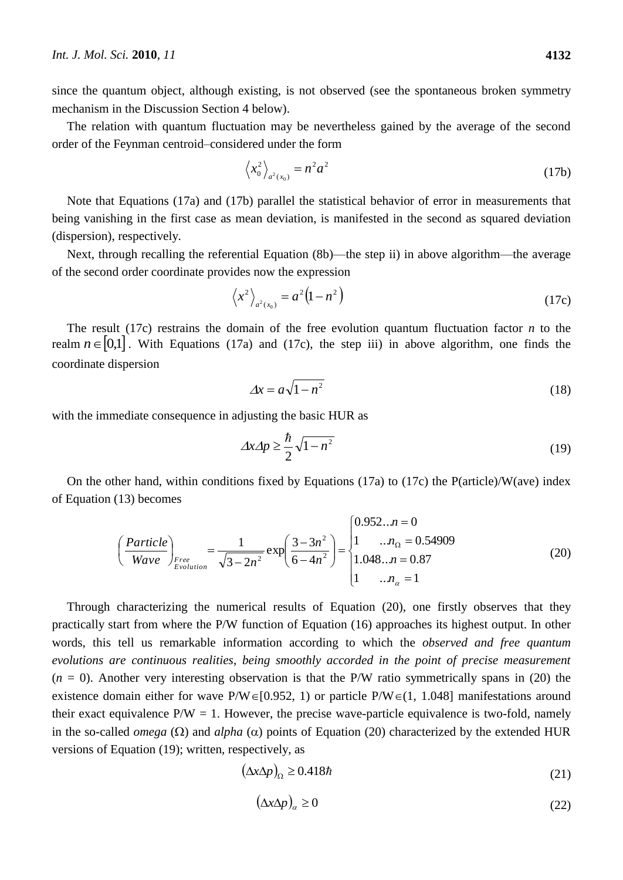since the quantum object, although existing, is not observed (see the spontaneous broken symmetry mechanism in the Discussion Section 4 below).

The relation with quantum fluctuation may be nevertheless gained by the average of the second order of the Feynman centroid–considered under the form

$$
\left\langle x_0^2 \right\rangle_{a^2(x_0)} = n^2 a^2 \tag{17b}
$$

Note that Equations (17a) and (17b) parallel the statistical behavior of error in measurements that being vanishing in the first case as mean deviation, is manifested in the second as squared deviation (dispersion), respectively.

Next, through recalling the referential Equation (8b)—the step ii) in above algorithm—the average of the second order coordinate provides now the expression

$$
\left\langle x^2 \right\rangle_{a^2(x_0)} = a^2 \left( 1 - n^2 \right) \tag{17c}
$$

The result (17c) restrains the domain of the free evolution quantum fluctuation factor *n* to the realm  $n \in [0,1]$ . With Equations (17a) and (17c), the step iii) in above algorithm, one finds the coordinate dispersion

$$
\Delta x = a\sqrt{1 - n^2} \tag{18}
$$

with the immediate consequence in adjusting the basic HUR as

$$
\Delta x \Delta p \ge \frac{\hbar}{2} \sqrt{1 - n^2} \tag{19}
$$

On the other hand, within conditions fixed by Equations (17a) to (17c) the P(article)/W(ave) index of Equation (13) becomes

$$
\left(\frac{Particle}{Wave}\right)_{Free}\n= \frac{1}{\sqrt{3-2n^2}} \exp\left(\frac{3-3n^2}{6-4n^2}\right) = \begin{cases} 0.952..n = 0 \\
1 & .. n_{\Omega} = 0.54909 \\
1.048..n = 0.87 \\
1 & .. n_{\alpha} = 1 \end{cases}
$$
(20)

Through characterizing the numerical results of Equation (20), one firstly observes that they practically start from where the P/W function of Equation (16) approaches its highest output. In other words, this tell us remarkable information according to which the *observed and free quantum evolutions are continuous realities*, *being smoothly accorded in the point of precise measurement*  $(n = 0)$ . Another very interesting observation is that the P/W ratio symmetrically spans in (20) the existence domain either for wave P/W $\in$ [0.952, 1) or particle P/W $\in$ (1, 1.048] manifestations around their exact equivalence  $P/W = 1$ . However, the precise wave-particle equivalence is two-fold, namely in the so-called *omega* ( $\Omega$ ) and *alpha* ( $\alpha$ ) points of Equation (20) characterized by the extended HUR versions of Equation (19); written, respectively, as

$$
(\Delta x \Delta p)_{\Omega} \ge 0.418 \hbar \tag{21}
$$

$$
(\Delta x \Delta p)_{\alpha} \ge 0 \tag{22}
$$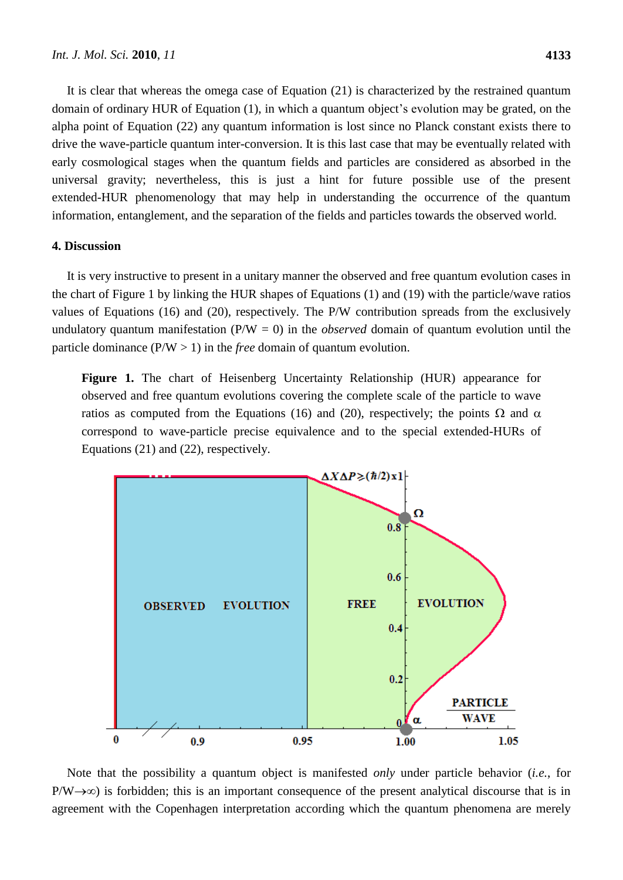It is clear that whereas the omega case of Equation (21) is characterized by the restrained quantum domain of ordinary HUR of Equation (1), in which a quantum object's evolution may be grated, on the alpha point of Equation (22) any quantum information is lost since no Planck constant exists there to drive the wave-particle quantum inter-conversion. It is this last case that may be eventually related with early cosmological stages when the quantum fields and particles are considered as absorbed in the universal gravity; nevertheless, this is just a hint for future possible use of the present extended-HUR phenomenology that may help in understanding the occurrence of the quantum information, entanglement, and the separation of the fields and particles towards the observed world.

# **4. Discussion**

It is very instructive to present in a unitary manner the observed and free quantum evolution cases in the chart of Figure 1 by linking the HUR shapes of Equations (1) and (19) with the particle/wave ratios values of Equations (16) and (20), respectively. The P/W contribution spreads from the exclusively undulatory quantum manifestation (P/W = 0) in the *observed* domain of quantum evolution until the particle dominance (P/W > 1) in the *free* domain of quantum evolution.

**Figure 1.** The chart of Heisenberg Uncertainty Relationship (HUR) appearance for observed and free quantum evolutions covering the complete scale of the particle to wave ratios as computed from the Equations (16) and (20), respectively; the points  $\Omega$  and  $\alpha$ correspond to wave-particle precise equivalence and to the special extended-HURs of Equations (21) and (22), respectively.



Note that the possibility a quantum object is manifested *only* under particle behavior (*i.e.*, for  $P/W\rightarrow\infty$ ) is forbidden; this is an important consequence of the present analytical discourse that is in agreement with the Copenhagen interpretation according which the quantum phenomena are merely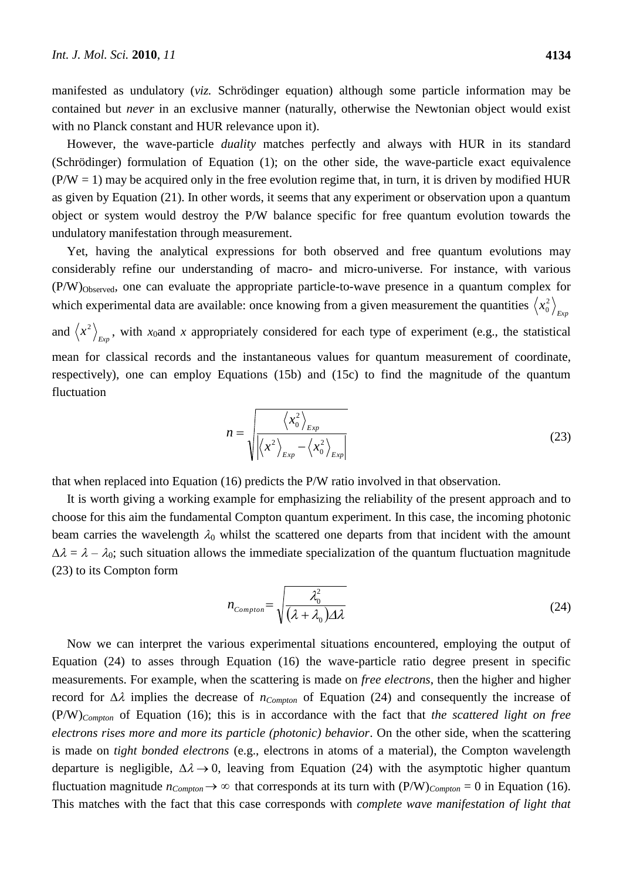manifested as undulatory (*viz.* Schrödinger equation) although some particle information may be contained but *never* in an exclusive manner (naturally, otherwise the Newtonian object would exist with no Planck constant and HUR relevance upon it).

However, the wave-particle *duality* matches perfectly and always with HUR in its standard (Schrödinger) formulation of Equation (1); on the other side, the wave-particle exact equivalence  $(P/W = 1)$  may be acquired only in the free evolution regime that, in turn, it is driven by modified HUR as given by Equation (21). In other words, it seems that any experiment or observation upon a quantum object or system would destroy the P/W balance specific for free quantum evolution towards the undulatory manifestation through measurement.

Yet, having the analytical expressions for both observed and free quantum evolutions may considerably refine our understanding of macro- and micro-universe. For instance, with various (P/W)Observed, one can evaluate the appropriate particle-to-wave presence in a quantum complex for which experimental data are available: once knowing from a given measurement the quantities  $\langle x_0^2 \rangle_{_{Exp}}$ 0 and  $\langle x^2 \rangle_{Exp}$ , with *x*<sub>0</sub>and *x* appropriately considered for each type of experiment (e.g., the statistical mean for classical records and the instantaneous values for quantum measurement of coordinate, respectively), one can employ Equations (15b) and (15c) to find the magnitude of the quantum fluctuation

$$
n = \sqrt{\frac{\langle x_0^2 \rangle_{Exp}}{\left| \langle x^2 \rangle_{Exp} - \langle x_0^2 \rangle_{Exp} \right|}}
$$
(23)

that when replaced into Equation (16) predicts the P/W ratio involved in that observation.

It is worth giving a working example for emphasizing the reliability of the present approach and to choose for this aim the fundamental Compton quantum experiment. In this case, the incoming photonic beam carries the wavelength  $\lambda_0$  whilst the scattered one departs from that incident with the amount  $\Delta \lambda = \lambda - \lambda_0$ ; such situation allows the immediate specialization of the quantum fluctuation magnitude (23) to its Compton form

$$
n_{Compton} = \sqrt{\frac{\lambda_0^2}{(\lambda + \lambda_0)\Delta\lambda}}
$$
 (24)

Now we can interpret the various experimental situations encountered, employing the output of Equation (24) to asses through Equation (16) the wave-particle ratio degree present in specific measurements. For example, when the scattering is made on *free electrons*, then the higher and higher record for Δλ implies the decrease of *n<sub>Compton</sub>* of Equation (24) and consequently the increase of (P/W)*Compton* of Equation (16); this is in accordance with the fact that *the scattered light on free electrons rises more and more its particle (photonic) behavior*. On the other side, when the scattering is made on *tight bonded electrons* (e.g., electrons in atoms of a material), the Compton wavelength departure is negligible,  $\Delta \lambda \rightarrow 0$ , leaving from Equation (24) with the asymptotic higher quantum fluctuation magnitude  $n_{Compton} \to \infty$  that corresponds at its turn with  $(P/W)_{Compton} = 0$  in Equation (16). This matches with the fact that this case corresponds with *complete wave manifestation of light that*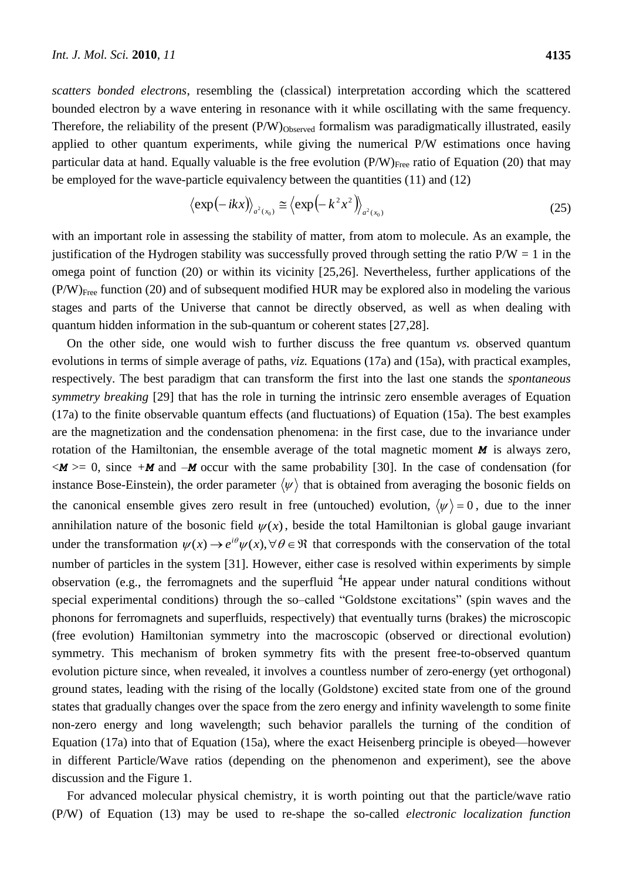*scatters bonded electrons*, resembling the (classical) interpretation according which the scattered bounded electron by a wave entering in resonance with it while oscillating with the same frequency. Therefore, the reliability of the present  $(P/W)_{Observed}$  formalism was paradigmatically illustrated, easily applied to other quantum experiments, while giving the numerical P/W estimations once having particular data at hand. Equally valuable is the free evolution  $(P/W)_{Free}$  ratio of Equation (20) that may be employed for the wave-particle equivalency between the quantities (11) and (12)

$$
\left\langle \exp\left(-ikx\right)\right\rangle_{a^2(x_0)} \cong \left\langle \exp\left(-k^2x^2\right)\right\rangle_{a^2(x_0)}
$$
\n(25)

with an important role in assessing the stability of matter, from atom to molecule. As an example, the justification of the Hydrogen stability was successfully proved through setting the ratio  $P/W = 1$  in the omega point of function (20) or within its vicinity [25,26]. Nevertheless, further applications of the (P/W)Free function (20) and of subsequent modified HUR may be explored also in modeling the various stages and parts of the Universe that cannot be directly observed, as well as when dealing with quantum hidden information in the sub-quantum or coherent states [27,28].

On the other side, one would wish to further discuss the free quantum *vs.* observed quantum evolutions in terms of simple average of paths, *viz.* Equations (17a) and (15a), with practical examples, respectively. The best paradigm that can transform the first into the last one stands the *spontaneous symmetry breaking* [29] that has the role in turning the intrinsic zero ensemble averages of Equation (17a) to the finite observable quantum effects (and fluctuations) of Equation (15a). The best examples are the magnetization and the condensation phenomena: in the first case, due to the invariance under rotation of the Hamiltonian, the ensemble average of the total magnetic moment *M* is always zero,  $\langle M \rangle$  = 0, since  $+$ *M* and  $-M$  occur with the same probability [30]. In the case of condensation (for instance Bose-Einstein), the order parameter  $\langle \psi \rangle$  that is obtained from averaging the bosonic fields on the canonical ensemble gives zero result in free (untouched) evolution,  $\langle \psi \rangle = 0$ , due to the inner annihilation nature of the bosonic field  $\psi(x)$ , beside the total Hamiltonian is global gauge invariant under the transformation  $\psi(x) \to e^{i\theta} \psi(x), \forall \theta \in \Re$  that corresponds with the conservation of the total number of particles in the system [31]. However, either case is resolved within experiments by simple observation (e.g., the ferromagnets and the superfluid  ${}^{4}$ He appear under natural conditions without special experimental conditions) through the so–called "Goldstone excitations" (spin waves and the phonons for ferromagnets and superfluids, respectively) that eventually turns (brakes) the microscopic (free evolution) Hamiltonian symmetry into the macroscopic (observed or directional evolution) symmetry. This mechanism of broken symmetry fits with the present free-to-observed quantum evolution picture since, when revealed, it involves a countless number of zero-energy (yet orthogonal) ground states, leading with the rising of the locally (Goldstone) excited state from one of the ground states that gradually changes over the space from the zero energy and infinity wavelength to some finite non-zero energy and long wavelength; such behavior parallels the turning of the condition of Equation (17a) into that of Equation (15a), where the exact Heisenberg principle is obeyed—however in different Particle/Wave ratios (depending on the phenomenon and experiment), see the above discussion and the Figure 1.

For advanced molecular physical chemistry, it is worth pointing out that the particle/wave ratio (P/W) of Equation (13) may be used to re-shape the so-called *electronic localization function*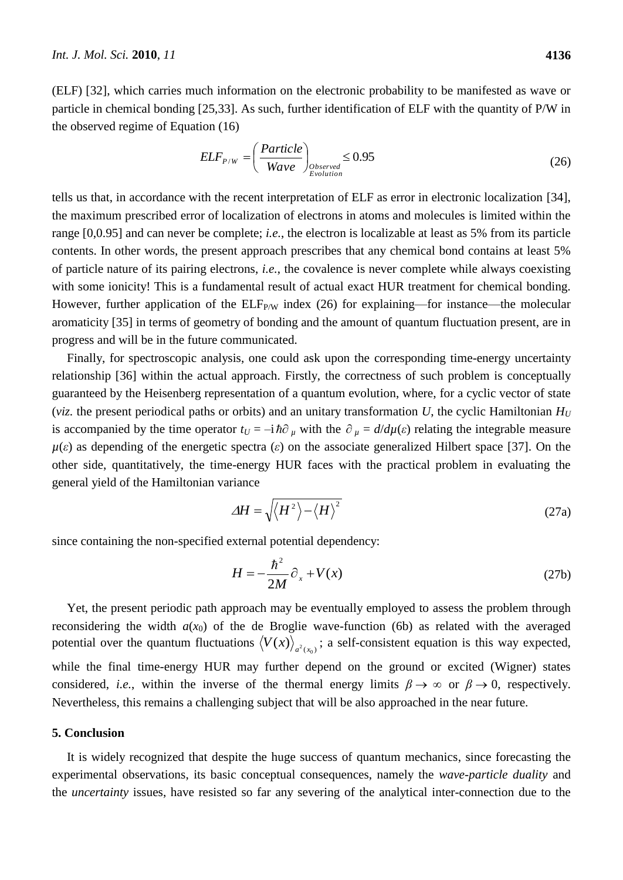(ELF) [32], which carries much information on the electronic probability to be manifested as wave or particle in chemical bonding [25,33]. As such, further identification of ELF with the quantity of P/W in the observed regime of Equation (16)

$$
ELF_{P/W} = \left(\frac{Particle}{Wave}\right)_{Observed} \le 0.95
$$
\n(26)

tells us that, in accordance with the recent interpretation of ELF as error in electronic localization [34], the maximum prescribed error of localization of electrons in atoms and molecules is limited within the range [0,0.95] and can never be complete; *i.e.*, the electron is localizable at least as 5% from its particle contents. In other words, the present approach prescribes that any chemical bond contains at least 5% of particle nature of its pairing electrons, *i.e.*, the covalence is never complete while always coexisting with some ionicity! This is a fundamental result of actual exact HUR treatment for chemical bonding. However, further application of the  $ELF_{P/W}$  index (26) for explaining—for instance—the molecular aromaticity [35] in terms of geometry of bonding and the amount of quantum fluctuation present, are in progress and will be in the future communicated.

Finally, for spectroscopic analysis, one could ask upon the corresponding time-energy uncertainty relationship [36] within the actual approach. Firstly, the correctness of such problem is conceptually guaranteed by the Heisenberg representation of a quantum evolution, where, for a cyclic vector of state (*viz.* the present periodical paths or orbits) and an unitary transformation U, the cyclic Hamiltonian  $H_U$ is accompanied by the time operator  $t_U = -i \hbar \partial_\mu$  with the  $\partial_\mu = d/d\mu(\varepsilon)$  relating the integrable measure *µ*(*ε*) as depending of the energetic spectra (*ε*) on the associate generalized Hilbert space [37]. On the other side, quantitatively, the time-energy HUR faces with the practical problem in evaluating the general yield of the Hamiltonian variance

$$
\Delta H = \sqrt{\langle H^2 \rangle - \langle H \rangle^2}
$$
 (27a)

since containing the non-specified external potential dependency:

$$
H = -\frac{\hbar^2}{2M}\partial_x + V(x) \tag{27b}
$$

Yet, the present periodic path approach may be eventually employed to assess the problem through reconsidering the width  $a(x_0)$  of the de Broglie wave-function (6b) as related with the averaged potential over the quantum fluctuations  $\langle V(x) \rangle_{a^2(x_0)}$ ; a self-consistent equation is this way expected, while the final time-energy HUR may further depend on the ground or excited (Wigner) states considered, *i.e.*, within the inverse of the thermal energy limits  $\beta \to \infty$  or  $\beta \to 0$ , respectively. Nevertheless, this remains a challenging subject that will be also approached in the near future.

#### **5. Conclusion**

It is widely recognized that despite the huge success of quantum mechanics, since forecasting the experimental observations, its basic conceptual consequences, namely the *wave-particle duality* and the *uncertainty* issues, have resisted so far any severing of the analytical inter-connection due to the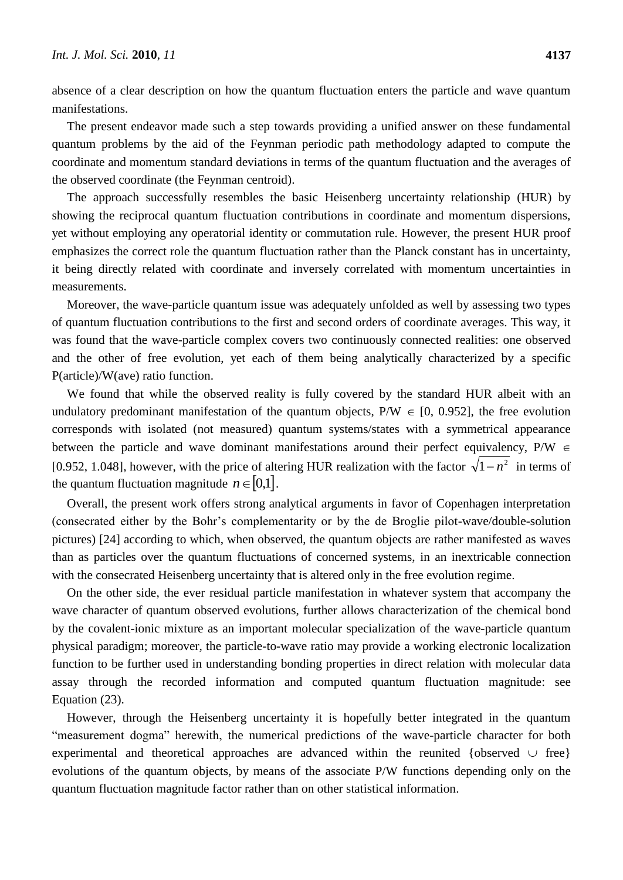absence of a clear description on how the quantum fluctuation enters the particle and wave quantum manifestations.

The present endeavor made such a step towards providing a unified answer on these fundamental quantum problems by the aid of the Feynman periodic path methodology adapted to compute the coordinate and momentum standard deviations in terms of the quantum fluctuation and the averages of the observed coordinate (the Feynman centroid).

The approach successfully resembles the basic Heisenberg uncertainty relationship (HUR) by showing the reciprocal quantum fluctuation contributions in coordinate and momentum dispersions, yet without employing any operatorial identity or commutation rule. However, the present HUR proof emphasizes the correct role the quantum fluctuation rather than the Planck constant has in uncertainty, it being directly related with coordinate and inversely correlated with momentum uncertainties in measurements.

Moreover, the wave-particle quantum issue was adequately unfolded as well by assessing two types of quantum fluctuation contributions to the first and second orders of coordinate averages. This way, it was found that the wave-particle complex covers two continuously connected realities: one observed and the other of free evolution, yet each of them being analytically characterized by a specific P(article)/W(ave) ratio function.

We found that while the observed reality is fully covered by the standard HUR albeit with an undulatory predominant manifestation of the quantum objects,  $P/W \in [0, 0.952]$ , the free evolution corresponds with isolated (not measured) quantum systems/states with a symmetrical appearance between the particle and wave dominant manifestations around their perfect equivalency,  $P/W \in$ [0.952, 1.048], however, with the price of altering HUR realization with the factor  $\sqrt{1-n^2}$  in terms of the quantum fluctuation magnitude  $n \in [0,1]$ .

Overall, the present work offers strong analytical arguments in favor of Copenhagen interpretation (consecrated either by the Bohr's complementarity or by the de Broglie pilot-wave/double-solution pictures) [24] according to which, when observed, the quantum objects are rather manifested as waves than as particles over the quantum fluctuations of concerned systems, in an inextricable connection with the consecrated Heisenberg uncertainty that is altered only in the free evolution regime.

On the other side, the ever residual particle manifestation in whatever system that accompany the wave character of quantum observed evolutions, further allows characterization of the chemical bond by the covalent-ionic mixture as an important molecular specialization of the wave-particle quantum physical paradigm; moreover, the particle-to-wave ratio may provide a working electronic localization function to be further used in understanding bonding properties in direct relation with molecular data assay through the recorded information and computed quantum fluctuation magnitude: see Equation (23).

However, through the Heisenberg uncertainty it is hopefully better integrated in the quantum "measurement dogma" herewith, the numerical predictions of the wave-particle character for both experimental and theoretical approaches are advanced within the reunited {observed  $\cup$  free} evolutions of the quantum objects, by means of the associate P/W functions depending only on the quantum fluctuation magnitude factor rather than on other statistical information.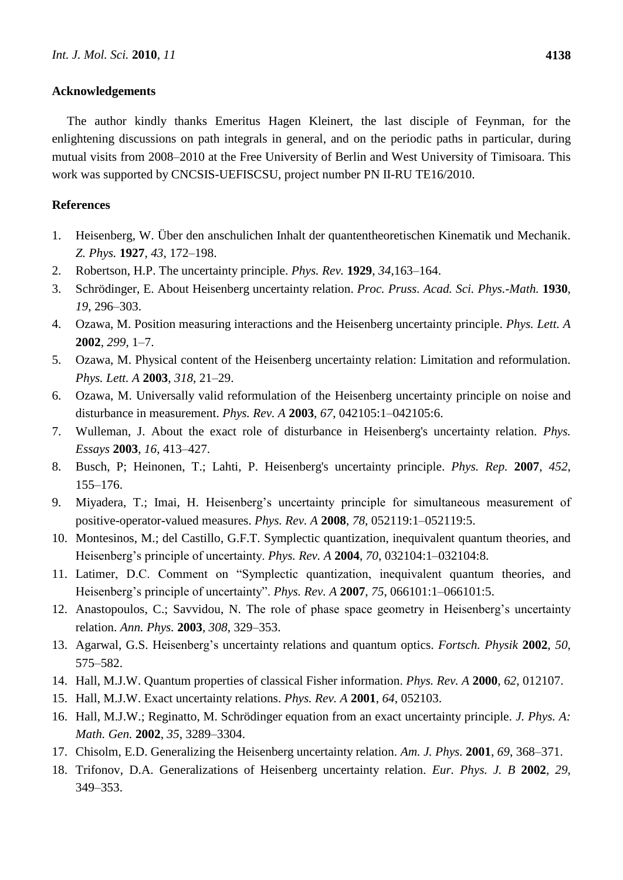### **Acknowledgements**

The author kindly thanks Emeritus Hagen Kleinert, the last disciple of Feynman, for the enlightening discussions on path integrals in general, and on the periodic paths in particular, during mutual visits from 2008–2010 at the Free University of Berlin and West University of Timisoara. This work was supported by CNCSIS-UEFISCSU, project number PN II-RU TE16/2010.

# **References**

- 1. Heisenberg, W. Über den anschulichen Inhalt der quantentheoretischen Kinematik und Mechanik. *Z. Phys.* **1927**, *43*, 172–198.
- 2. Robertson, H.P. The uncertainty principle. *Phys. Rev.* **1929**, *34*,163–164.
- 3. Schrödinger, E. About Heisenberg uncertainty relation. *Proc. Pruss. Acad. Sci. Phys.-Math.* **1930**, *19*, 296–303.
- 4. [Ozawa,](http://arxiv.org/find/quant-ph/1/au:+Ozawa_M/0/1/0/all/0/1) M. Position measuring interactions and the Heisenberg uncertainty principle. *Phys. Lett. A* **2002**, *299*, 1–7.
- 5. [Ozawa,](http://arxiv.org/find/quant-ph/1/au:+Ozawa_M/0/1/0/all/0/1) M. Physical content of the Heisenberg uncertainty relation: Limitation and reformulation. *Phys. Lett. A* **2003**, *318*, 21–29.
- 6. [Ozawa,](http://arxiv.org/find/quant-ph/1/au:+Ozawa_M/0/1/0/all/0/1) M. Universally valid reformulation of the Heisenberg uncertainty principle on noise and disturbance in measurement. *Phys. Rev. A* **2003**, *67*, 042105:1–042105:6.
- 7. [Wulleman,](http://arxiv.org/find/quant-ph/1/au:+Wulleman_J/0/1/0/all/0/1) J. About the exact role of disturbance in Heisenberg's uncertainty relation. *Phys. Essays* **2003**, *16*, 413–427.
- 8. Busch, P; Heinonen, T.; Lahti, P. Heisenberg's uncertainty principle. *Phys. Rep.* **2007**, *452*, 155–176.
- 9. Miyadera, T.; Imai, H. Heisenberg's uncertainty principle for simultaneous measurement of positive-operator-valued measures. *Phys. Rev. A* **2008**, *78*, 052119:1–052119:5.
- 10. [Montesinos,](http://arxiv.org/find/quant-ph/1/au:+Montesinos_M/0/1/0/all/0/1) M.; [del Castillo,](http://arxiv.org/find/quant-ph/1/au:+Castillo_G/0/1/0/all/0/1) G.F.T. Symplectic quantization, inequivalent quantum theories, and Heisenberg's principle of uncertainty. *Phys. Rev. A* **2004**, *70*, 032104:1–032104:8.
- 11. [Latimer,](http://arxiv.org/find/quant-ph/1/au:+Latimer_D/0/1/0/all/0/1) D.C. Comment on "Symplectic quantization, inequivalent quantum theories, and Heisenberg's principle of uncertainty". *Phys. Rev. A* **2007**, 75, 066101:1-066101:5.
- 12. [Anastopoulos,](http://arxiv.org/find/quant-ph/1/au:+Anastopoulos_C/0/1/0/all/0/1) C.; [Savvidou,](http://arxiv.org/find/quant-ph/1/au:+Savvidou_N/0/1/0/all/0/1) N. The role of phase space geometry in Heisenberg's uncertainty relation. *Ann. Phys.* **2003**, *308*, 329–353.
- 13. [Agarwal,](http://arxiv.org/find/quant-ph/1/au:+Agarwal_G/0/1/0/all/0/1) G.S. Heisenberg's uncertainty relations and quantum optics. *Fortsch. Physik* **2002**, *50*, 575–582.
- 14. Hall, M.J.W. Quantum properties of classical Fisher information. *Phys. Rev. A* **2000**, *62*, 012107.
- 15. Hall, M.J.W. Exact uncertainty relations. *Phys. Rev. A* **2001**, *64*, 052103.
- 16. Hall, M.J.W.; Reginatto, M. Schrödinger equation from an exact uncertainty principle. *J. Phys. A: Math. Gen.* **2002**, *35*, 3289–3304.
- 17. [Chisolm,](http://arxiv.org/find/quant-ph/1/au:+Chisolm_E/0/1/0/all/0/1) E.D. Generalizing the Heisenberg uncertainty relation. *Am. J. Phys.* **2001**, *69*, 368–371.
- 18. [Trifonov,](http://arxiv.org/find/quant-ph/1/au:+Trifonov_D/0/1/0/all/0/1) D.A. Generalizations of Heisenberg uncertainty relation. *Eur. Phys. J. B* **2002**, *29*, 349–353.